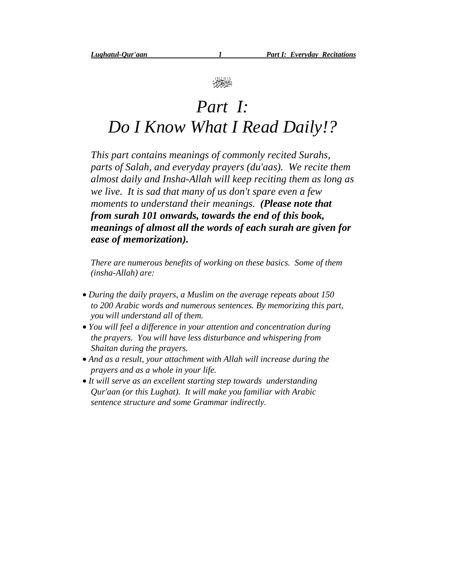

## *Part I: Do I Know What I Read Daily!?*

*This part contains meanings of commonly recited Surahs, parts of Salah, and everyday prayers (du'aas). We recite them almost daily and Insha-Allah will keep reciting them as long as we live. It is sad that many of us don't spare even a few moments to understand their meanings. (Please note that from surah 101 onwards, towards the end of this book, meanings of almost all the words of each surah are given for ease of memorization).*

*There are numerous benefits of working on these basics. Some of them (insha-Allah) are:*

- *During the daily prayers, a Muslim on the average repeats about 150 to 200 Arabic words and numerous sentences. By memorizing this part, you will understand all of them.*
- *You will feel a difference in your attention and concentration during the prayers. You will have less disturbance and whispering from Shaitan during the prayers.*
- *And as a result, your attachment with Allah will increase during the prayers and as a whole in your life.*
- *It will serve as an excellent starting step towards understanding Qur'aan (or this Lughat). It will make you familiar with Arabic sentence structure and some Grammar indirectly.*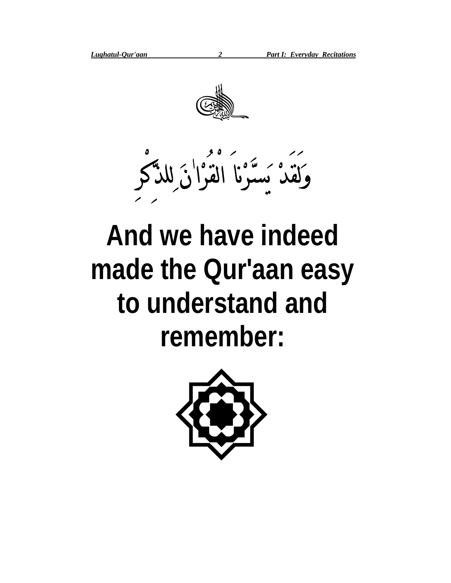



# **And we have indeed made the Qur'aan easy to understand and remember:**

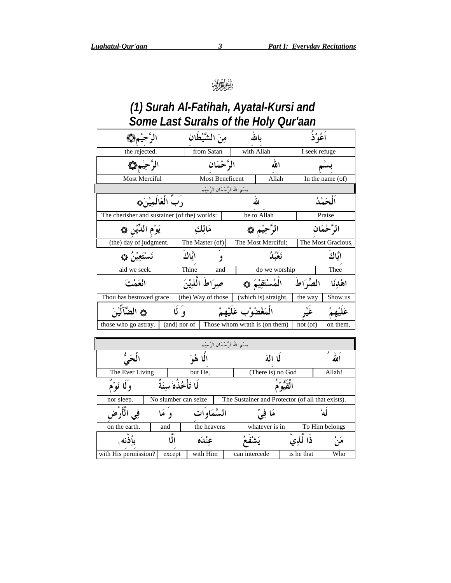#### (1) Surah Al-Fatihah, Ayatal-Kursi and Some Last Surahs of the Holy Qur'aan

| الرَّجيْمِ۞                                  |              |           | مِنَ الشَّيْطَان                                             |                   | بالله                         |               | اَعُوْ ٰذُ |                    |
|----------------------------------------------|--------------|-----------|--------------------------------------------------------------|-------------------|-------------------------------|---------------|------------|--------------------|
| the rejected.                                |              |           | from Satan                                                   |                   | with Allah                    | I seek refuge |            |                    |
| الرَّحِيْمِ١                                 |              |           | الرَّحْمَان                                                  |                   | الله                          |               |            |                    |
| Most Merciful                                |              |           | Most Beneficent                                              |                   | $\overbrace{\text{Allah}}$    |               |            | In the name $(of)$ |
|                                              |              |           | بسْم الله الرَّحْمَان الرَّحِيْم                             |                   |                               |               |            |                    |
| رَبِّ الْعَالَمِيْنَ۞                        |              |           |                                                              |                   | لله                           |               | الحَمْدُ   |                    |
| The cherisher and sustainer (of the) worlds: |              |           |                                                              |                   | be to Allah                   |               | Praise     |                    |
| يَوْم الدِّيْنِ ۞                            |              | مَالِك    |                                                              |                   | الرَّحِيْم ۞                  |               |            | الرَّحْمَان        |
| (the) day of judgment.                       |              |           | The Master (of)                                              |                   | The Most Merciful;            |               |            | The Most Gracious, |
|                                              |              | اتَّاكَ   | و                                                            |                   | ئعْنْدُ                       |               |            | ايَّاك             |
| aid we seek.                                 |              | Thine     | and                                                          |                   | do we worship                 |               |            | Thee               |
| انْعَمْتَ                                    |              |           | صواط اللَّذِينَ                                              |                   | الْمُسْتَقِيْمَ ﴾             | الصِّرَاطَ    |            | اهْدنَا            |
| Thou has bestowed grace                      |              |           | (the) Way of those                                           |                   | (which is) straight,          | the way       |            | Show us            |
| ها الضَّآلَيْنَ                              |              |           |                                                              | مَغْضُوْبٍ عَلَيْ |                               |               |            |                    |
| those who go astray.                         | (and) nor of |           |                                                              |                   | Those whom wrath is (on them) | $not($ of $)$ |            | on them.           |
|                                              |              |           |                                                              |                   |                               |               |            |                    |
|                                              |              |           |                                                              |                   |                               |               |            |                    |
|                                              |              |           | —<br>بستم الله الرَّحْمَان الرَّحِيْم<br><b>الَّـا هُو</b> َ |                   | لما المَهَ                    |               |            | الله               |
| The Ever Living                              |              | but He,   |                                                              |                   | (There is) no God             |               |            | Allah!             |
| r<br>rg<br>$\overline{\phantom{a}}$          | ۶            | $\bullet$ |                                                              |                   |                               |               |            |                    |

|                      |                       |         |              |  | لا الهَ                                           |  |            |                |  |  |
|----------------------|-----------------------|---------|--------------|--|---------------------------------------------------|--|------------|----------------|--|--|
| The Ever Living      |                       | but He. |              |  | (There is) no God                                 |  |            | Allah!         |  |  |
|                      | لَا تَأْخُذُهُ سِنَةً |         |              |  |                                                   |  |            |                |  |  |
| nor sleep.           | No slumber can seize  |         |              |  | The Sustainer and Protector (of all that exists). |  |            |                |  |  |
|                      |                       |         | السَّمَاوَات |  |                                                   |  |            |                |  |  |
| on the earth.        | and                   |         | the heavens  |  | whatever is in                                    |  |            | To Him belongs |  |  |
|                      |                       |         | عنْدَه       |  |                                                   |  |            |                |  |  |
| with His permission? | except                |         | with Him     |  | can intercede                                     |  | is he that | Who            |  |  |

 $\overline{\mathbf{3}}$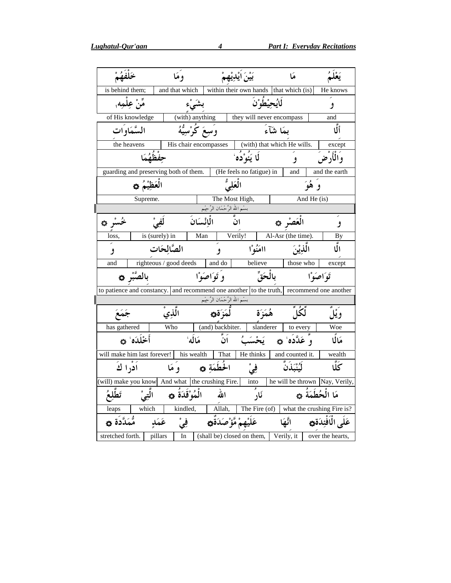| خَلْفَهُمْ                  |                                                 |                | وَمَا                                                  |              |                                              | بَيْنَ ايْدِيْهِمْ                    |                 | هَا                                                                       |               |                                                                                          |
|-----------------------------|-------------------------------------------------|----------------|--------------------------------------------------------|--------------|----------------------------------------------|---------------------------------------|-----------------|---------------------------------------------------------------------------|---------------|------------------------------------------------------------------------------------------|
| is behind them;             |                                                 |                | and that which                                         |              |                                              |                                       |                 | within their own hands that which (is)                                    |               | He knows                                                                                 |
|                             | مِّنْ عِلْمِهِ,                                 |                | بشَىْء                                                 |              |                                              |                                       | ڶۘٳۑؙڂؽ۠ڟۘؗۥ۠ڹۘ |                                                                           |               | و                                                                                        |
|                             | of His knowledge                                |                |                                                        |              |                                              |                                       |                 | (with) anything<br><br>  they will never encompass                        |               | and                                                                                      |
|                             | السَّمَاو <sup>َ</sup> ات                       |                | وَسِعَ كُرْسِيُّهُ                                     |              |                                              |                                       |                 | بمَا شَآءَ                                                                |               | أَلَّا                                                                                   |
|                             | the heavens                                     |                | His chair encompasses                                  |              |                                              |                                       |                 | (with) that which He wills.                                               |               | except                                                                                   |
|                             |                                                 | حفْظُهُمَا     |                                                        |              |                                              | لَا يَئُوْدُه َ                       |                 | و                                                                         |               | وَالْأَرْضَ                                                                              |
|                             |                                                 |                |                                                        |              |                                              |                                       |                 | guarding and preserving both of them.   (He feels no fatigue) in   and    |               | and the earth                                                                            |
|                             | الْعَظِيْمُ ۞                                   |                |                                                        |              | الْعَلِيُّ                                   |                                       |                 |                                                                           | وَ هُوَ       |                                                                                          |
|                             | Supreme.                                        |                |                                                        |              |                                              | The Most High,                        |                 |                                                                           | And He $(is)$ |                                                                                          |
| $\mathsf{l}$                |                                                 |                |                                                        |              | بسْم الله الرَّحْمَان الرَّحِيْم             |                                       |                 |                                                                           |               |                                                                                          |
| ځشر ده                      |                                                 |                |                                                        |              | انَّ الْإِنْسَانَ                            |                                       |                 | الْعَصْرِ ۞                                                               |               |                                                                                          |
| loss,                       |                                                 | is (surely) in |                                                        | Man          |                                              | Verily!                               |                 | $\overline{Al-Asr}$ (the time).                                           |               | <b>By</b>                                                                                |
| و                           |                                                 | الصَّالحَات    |                                                        |              | و                                            | اامَنُوْا                             |                 | الَّذِيْنَ                                                                |               | الٌا                                                                                     |
| and                         |                                                 |                |                                                        |              |                                              | righteous / good deeds and do believe |                 | those who                                                                 |               | except                                                                                   |
|                             | بالصَّبْر ۞                                     |                |                                                        | وَتَوَاصَوْا |                                              | بالْحَقِّ                             |                 | تَوَاصَوْا                                                                |               |                                                                                          |
|                             |                                                 |                |                                                        |              |                                              |                                       |                 |                                                                           |               | to patience and constancy. and recommend one another to the truth, recommend one another |
| I                           |                                                 |                |                                                        |              | ِ بِسْمِ اللهِ الرَّحْمَانِ الرَّحِيْمِ<br>* |                                       |                 |                                                                           |               |                                                                                          |
| جَمَعَ                      |                                                 |                | الَّذِيْ                                               |              |                                              | هُمَزَة لَّمَزَة۞                     |                 | ڵٙػؙڵٞ                                                                    |               | وَيْلَ                                                                                   |
| has gathered                |                                                 | Who            |                                                        |              | (and) backbiter.                             | slanderer                             |                 |                                                                           |               | Woe                                                                                      |
|                             | أَخْلَدَه ٗ ۞                                   |                | مَالَهُ                                                |              | ِ<br>اُنْ                                    | يَحْسَبُ                              |                 | to every<br>وَ عَلَّذَهُ هُم                                              |               | مَالًا                                                                                   |
|                             |                                                 |                |                                                        |              |                                              |                                       |                 | will make him last forever! his wealth That   He thinks   and counted it. |               | wealth                                                                                   |
| ادرا ك                      |                                                 |                | الحُطَمَةِ ۞ وَمَا                                     |              |                                              | في <sup>ٰ</sup><br>—                  |                 | لَيْنْبَذَنَّ                                                             |               | ػؖڷ                                                                                      |
|                             |                                                 |                |                                                        |              |                                              |                                       |                 |                                                                           |               | (will) make you know And what the crushing Fire. into he will be thrown Nay, Verily,     |
|                             | الْمُوْقَدَةُ ۞      الَّتِيْ         تَطَّلِعُ |                |                                                        |              | الله                                         | ۔<br>نَار                             |                 |                                                                           |               | مَا الْحُطَمَةُ ۞                                                                        |
|                             | which                                           |                |                                                        |              |                                              |                                       |                 |                                                                           |               | kindled, Allah, The Fire (of) what the crushing Fire is?                                 |
| مُّمَدَّدَة ۞               |                                                 |                | عَلَيْهِمْ مَّؤْصَ <i>دَ</i> ةُ۞       فِيْ     عَمَدٍ |              |                                              |                                       |                 |                                                                           |               | عَلَى الْمَفْئِدَة۞         انَّهَا                                                      |
| stretched forth.    pillars |                                                 |                |                                                        |              |                                              |                                       |                 |                                                                           |               | In (shall be) closed on them, Verily, it over the hearts,                                |

 $\overline{4}$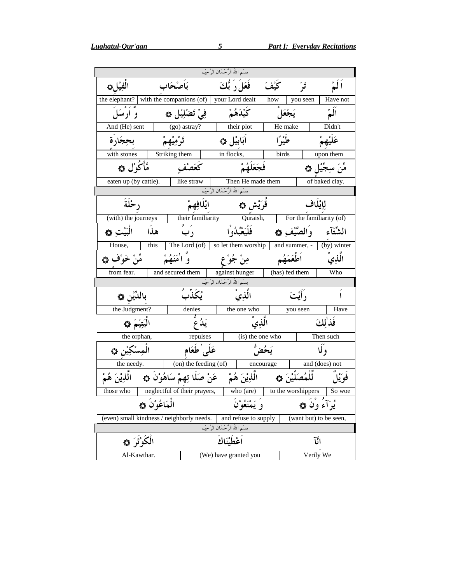|                                                |                                                   | بسْم الله الرَّحْمَان الرَّحِيْم                                  |         |                            |            |                          |
|------------------------------------------------|---------------------------------------------------|-------------------------------------------------------------------|---------|----------------------------|------------|--------------------------|
| الفِيْلِ،                                      | بَأصْحَاب                                         | فَعَلَ رَ بُّكَ                                                   | كَيْفَ  | تَوَ                       |            |                          |
| the elephant? $\vert$ with the companions (of) |                                                   | your Lord dealt                                                   | how     | you seen                   |            | Have not                 |
| و ارسَلَ                                       | فِيْ تَضْلِيْلِ ۞                                 | كَيْدَهُمْ                                                        |         | يَجْعَل                    |            |                          |
| And (He) sent                                  | (go) astray?                                      | their plot                                                        |         | He make                    |            | Didn't                   |
| بججارة                                         | تَرْمِيْهِمْ                                      | ابَابِيْل ۞                                                       | طَيْرًا |                            |            | عَلَيْهِمْ               |
| with stones                                    | Striking them                                     | in flocks,                                                        | birds   |                            |            | upon them                |
| مَّأْكُوْل ۞                                   | كَعَصْف                                           | فجَعَلَهُمْ                                                       |         |                            |            | مَّنَ سِجَّيْلٍ ۞        |
| eaten up (by cattle).                          | like straw                                        | Then He made them                                                 |         |                            |            | of baked clay.           |
|                                                |                                                   | بسْم الله الرَّحْمَان الرَّحِيْم                                  |         |                            |            |                          |
| ر ځُلَةَ                                       |                                                   | قُرَيْش ۞                                                         |         |                            | لِإِيْلَاف |                          |
| (with) the journeys                            | their familiarity                                 | Quraish,                                                          |         |                            |            | For the familiarity (of) |
| الْبَيْتِ ۞<br>هذا                             | ر ب                                               | فَلْبَعْبُدُوْا                                                   |         | وَالصَّيْفِ ۞              |            | الشَّتَأَء               |
| House,<br>this                                 |                                                   | The Lord (of)   so let them worship   and summer, -   (by) winter |         |                            |            |                          |
| مِّنْ خَوْف ۞                                  | اٰمَنَهُمْ                                        | مِنْ جُوْ ع                                                       |         | أطُعَمَهُم                 |            | الّذِي                   |
| from fear.                                     | and secured them                                  | against hunger                                                    |         | (has) fed them             |            | Who                      |
|                                                |                                                   | بسْم الله الرَّحْمَان الرَّحِيْمِ<br>=                            |         |                            |            |                          |
| بالدِّيْن ۞                                    | ۭ<br>ؽػڐ <b>ٞ</b> بؙ                              | الَّذِيْ                                                          |         | رَأَيْتَ                   |            |                          |
| the Judgment?                                  | denies                                            | the one who                                                       |         | you seen                   |            | Have                     |
| اليَتِيْمَ ۞                                   | ىدُ ع                                             | الذي                                                              |         |                            |            | فَذٰلكَ                  |
| the orphan,                                    | repulses                                          | (is) the one who                                                  |         |                            |            | Then such                |
| الْمِسْكِيْنِ ۞                                | عَلَى طَعَام                                      |                                                                   | يَحُضُّ |                            |            | وٓلَا                    |
| the needy.                                     | $\overline{\ }$ (on) the feeding (of)             | encourage                                                         |         |                            |            | and (does) not           |
| الْمُدِيْنَ هُمْ                               | الَّذِيْنَ هُمْ     عَنْ صَلَا تِهِمْ سَاهُوْنَ ۞ |                                                                   |         | <u>لِّلْمُ</u> صَلِّيْنَ ۞ |            | فُوَيْلَ                 |
| those who                                      | neglectful of their prayers,                      | $\overline{\text{who}}\text{ (are)}$                              |         | to the worshippers         |            | So woe                   |
|                                                | الْمَاعُوْ`نَ ۞                                   | وَ يَمْنَعُوْنَ                                                   |         |                            |            | يُوَآءُ وْنَ ۞           |
| (even) small kindness / neighborly needs.      |                                                   | and refuse to supply                                              |         |                            |            | (want but) to be seen,   |
|                                                |                                                   | بسْم الله الرَّحْمَان الرَّحِيْم                                  |         |                            |            |                          |
| الْكُوْثُوَ ۞                                  |                                                   | اعْطَيْنَاكَ                                                      |         |                            | اٽآ        |                          |
| Al-Kawthar.                                    |                                                   | (We) have granted you                                             |         |                            | Verily We  |                          |

 $5<sup>5</sup>$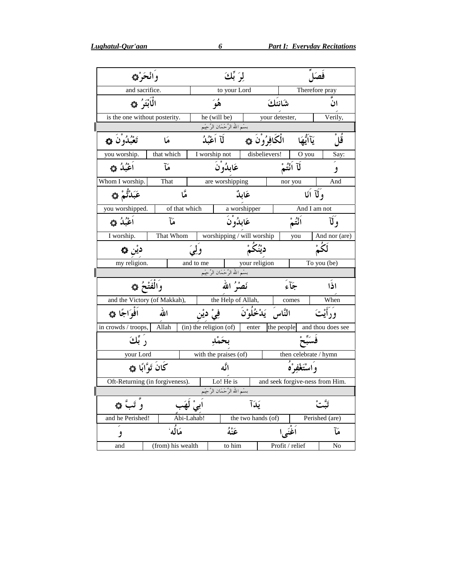|    | والحرهي                         |                   | لِيَ بِّكَ                       |                                       |                       |                           |                       |                                 |
|----|---------------------------------|-------------------|----------------------------------|---------------------------------------|-----------------------|---------------------------|-----------------------|---------------------------------|
|    | and sacrifice.                  |                   |                                  | to your Lord                          |                       |                           |                       | Therefore pray                  |
|    | الْابْتَوُ ﴾                    |                   |                                  | هُوَ                                  |                       | شانئك                     |                       | ان                              |
|    | is the one without posterity.   |                   |                                  | he (will be)                          |                       | your detester,<br>Verily, |                       |                                 |
| I  |                                 |                   |                                  | .<br>بسْم الله الرَّحْمَان الرَّحِيْم |                       |                           |                       |                                 |
|    | تَعْبُدُوْنَ ۞                  | هَا               | الْكَافِرُوْنَ ۞<br>لَآ اَعْبُدُ |                                       |                       |                           | يَآآيُهَا             | ڦلُ                             |
|    | you worship.                    | that which        |                                  | I worship not                         | disbelievers!         |                           | O you                 | Say:                            |
|    | أغْبُلُه ه                      | ھآ                |                                  | عَابِدُوْنَ                           |                       |                           | لَآ اَنْتُمْ          | و                               |
|    | Whom I worship.                 | That              |                                  | are worshipping                       |                       |                           | nor you               | And                             |
|    | عَبَدْتُّمْ ۞                   | مّا               |                                  |                                       | عَابِدٌ               |                           | وَلَا أَنَا           |                                 |
|    | you worshipped.                 | of that which     |                                  |                                       | a worshipper          |                           | And I am not          |                                 |
|    | اَعْبُدُ ۞                      | مَآ               |                                  | عَابِدُوْنَ                           |                       |                           | أَنْتُمْ              | وَلَا                           |
|    | I worship.                      | That Whom         |                                  | worshipping / will worship            |                       |                           | you                   | And nor (are)                   |
|    | ديْن ھ                          |                   | وكي                              |                                       | ديْنُكُمْ             |                           |                       | نَکُّ ٗ                         |
|    | my religion.                    |                   | and to me                        |                                       | your religion         |                           |                       | To you (be)                     |
| II |                                 |                   |                                  | .<br>بسْم الله الرَّحْمَان الرَّحِيْم |                       |                           |                       |                                 |
|    | وَالْفَتْحُ ۞                   |                   |                                  | نَصْرُ الله                           |                       |                           | جَآءَ                 | اذا                             |
|    | and the Victory (of Makkah),    |                   |                                  | the Help of Allah,                    |                       |                           | comes                 | When                            |
|    | أَفْوَاجًا ۞                    | الله              |                                  | فِيْ ديْن                             | النَّاسَ يَدْخُلُوْنَ |                           |                       | وَدَ أَيْتَ                     |
|    | in crowds / troops,             | Allah             | (in) the religion (of)           |                                       | enter                 | the people                |                       | and thou does see               |
|    | رَ بِّكَ                        |                   |                                  | بخَمْد                                |                       |                           |                       |                                 |
|    | your Lord                       |                   |                                  | with the praises (of)                 |                       |                           | then celebrate / hymn |                                 |
|    | كَانَ تَوَّابًا ۞               |                   |                                  | ائگه                                  |                       |                           | وَ اسْتَغْفِرْهُ      |                                 |
|    | Oft-Returning (in forgiveness). |                   |                                  | Lo! He is                             |                       |                           |                       | and seek forgive-ness from Him. |
| I  |                                 |                   |                                  | بسْم الله الرَّحْمَان الرَّحِيْم      |                       |                           |                       |                                 |
|    | وَّ تَبَّ هِ                    |                   |                                  |                                       | ىَدَآ                 |                           |                       |                                 |
|    | and he Perished!                |                   | Abi-Lahab!                       |                                       | the two hands (of)    |                           |                       | Perished (are)                  |
|    | و                               | مَالُه'           |                                  | عَنهُ                                 |                       | اَغْنَى ا                 |                       | مَآ                             |
|    | and                             | (from) his wealth |                                  | to him                                |                       | Profit / relief           |                       | No                              |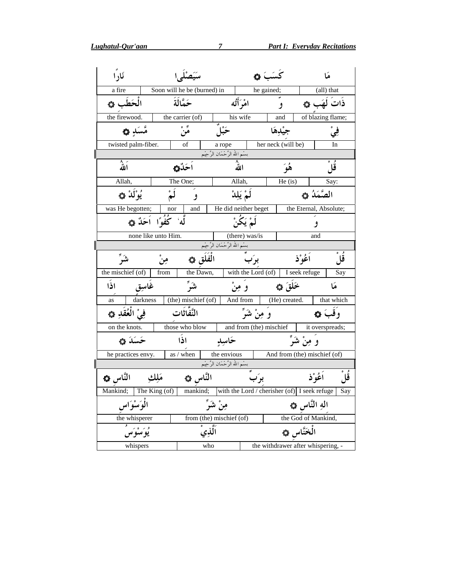Lughatul-Qur'aan

| نَاراً                                                                       |                       |                             |                                  | كَسَبَ ۞             |                                    |               | هَا                    |      |
|------------------------------------------------------------------------------|-----------------------|-----------------------------|----------------------------------|----------------------|------------------------------------|---------------|------------------------|------|
| a fire                                                                       |                       | Soon will he be (burned) in |                                  |                      | he gained;                         |               | (all) that             |      |
| الْحَطَب ۞                                                                   |                       | حَمَّالَةَ                  |                                  | امْرَأَتُه           | و                                  |               | ذَاتَ لَهَب ۞          |      |
| the firewood.                                                                |                       | the carrier (of)            |                                  | his wife             | and                                |               | of blazing flame;      |      |
| مَّسَدٍ ۞                                                                    |                       | س و.<br><b>مَن</b>          | ځپل                              |                      | جبْدهَا                            |               | ڣؙ                     |      |
| twisted palm-fiber.                                                          |                       | of                          | a rope                           |                      | her neck (will be)                 |               | In                     |      |
|                                                                              |                       |                             | بسْم الله الرَّحْمَان الرَّحِيْم |                      |                                    |               |                        |      |
| اللهُ                                                                        |                       | ٱحَدٌ                       |                                  | اللهُ                | هُوَ                               |               | قا                     |      |
| Allah,                                                                       |                       | The One;                    |                                  | Allah,               | He $(is)$                          |               | Say:                   |      |
| يُوْلَدْ ۞                                                                   | لَمْ                  | و                           |                                  | لَمْ يَلِدْ          |                                    |               | الصَّمَدُ ۞            |      |
| was He begotten;                                                             | nor                   | and                         |                                  | He did neither beget |                                    |               | the Eternal, Absolute; |      |
|                                                                              | لَّه كُفُوًا اَحَدٌ ۞ |                             |                                  | لَمْ يَكُنْ          |                                    |               | و                      |      |
|                                                                              | none like unto Him.   |                             |                                  | (there) was/is       |                                    |               | and                    |      |
|                                                                              |                       |                             | بسْم الله الرَّحْمَان الرَّحِيْم |                      |                                    |               |                        |      |
| شَوَّ                                                                        | مِنْ                  | الْفَلَق ۞                  |                                  | برَب                 |                                    | أَعُوْذ       |                        | قلْ  |
| the mischief (of)                                                            | from                  | the Dawn,                   |                                  | with the Lord (of)   |                                    | I seek refuge |                        | Say  |
| اذا<br>غاسق                                                                  |                       | ىشىر                        |                                  | وُ مِنْ              | خَلَقَ ۞                           |               |                        |      |
| darkness<br>as                                                               |                       | (the) mischief (of)         |                                  | And from             | (He) created.                      |               | that which             |      |
| فِيْ الْعُقَدِ ۞                                                             |                       | النَّفَّاثَات               |                                  | وَ مِنْ شَرِّ        |                                    |               | وَقَبَ ۞               |      |
| on the knots.                                                                |                       | those who blow              |                                  |                      | and from (the) mischief            |               | it overspreads;        |      |
| ځسک ه                                                                        |                       | اذًا                        | حَاسِدٍ                          |                      |                                    | وَ مِنْ شَرِّ |                        |      |
| he practices envy.                                                           |                       | as / when                   | the envious                      |                      | And from (the) mischief (of)       |               |                        |      |
|                                                                              |                       |                             | بسْم الله الرَّحْمَان الرَّحِيْم |                      |                                    |               |                        |      |
| النَّاس ۞                                                                    | مَلك                  | النَّاس ۞                   |                                  | برَب                 |                                    |               | أعُوْ ذ                | قْلْ |
| Mankind; The King (of) mankind; with the Lord / cherisher (of) I seek refuge |                       |                             |                                  |                      |                                    |               |                        | Say  |
| الْمَوَسْوَاسِ                                                               |                       |                             | مِنْ شَرِّ                       |                      |                                    | اله النَّاس ۞ |                        |      |
|                                                                              |                       |                             | from (the) mischief (of)         |                      |                                    |               | the God of Mankind,    |      |
| the whisperer<br>یُوَسُوَسُ                                                  |                       | ٱلَّذِيْ                    |                                  |                      |                                    | الْخَنَّاس ۞  |                        |      |
| whispers                                                                     |                       | who                         |                                  |                      | the withdrawer after whispering, - |               |                        |      |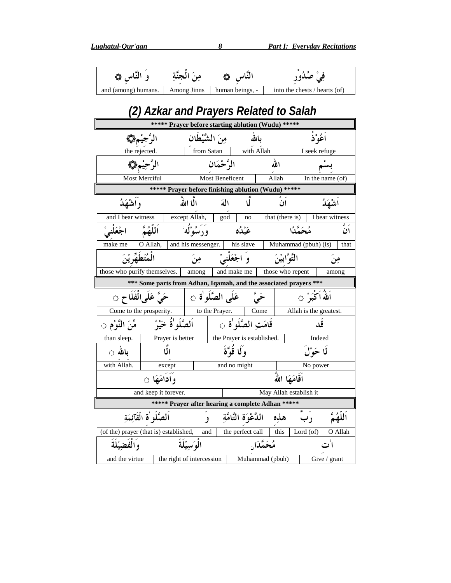Lughatul-Qur'aan

| و النَّاس هگا       | مِنَ الْجِنَّةِ | النَّاس ۞       | فِيْ صُدُوْرِ                          |
|---------------------|-----------------|-----------------|----------------------------------------|
| and (among) humans. | Among Jinns     | human beings, - | into the chests / hearts (of)          |
|                     |                 |                 | (2) Azkar and Prayers Related to Salah |

#### (2) AZKAI AIIU FIAJEIS KEIAIEU IU JAIAII

|                          | ***** Prayer before starting ablution (Wudu) *****                |                     |                        |                            |                         |                               |                        |         |
|--------------------------|-------------------------------------------------------------------|---------------------|------------------------|----------------------------|-------------------------|-------------------------------|------------------------|---------|
|                          | الرَّجيْمِ۞                                                       | مِنَ الشَّيْطَان    |                        |                            | بالله                   |                               | أَعُوْ ٰذُ             |         |
| the rejected.            |                                                                   | from Satan          |                        | with Allah                 |                         |                               | I seek refuge          |         |
|                          | الرَّحِيْمِ ١                                                     | الرَّحْمَان         |                        | الله                       |                         |                               |                        |         |
|                          | Most Merciful                                                     |                     | <b>Most Beneficent</b> |                            | Allah                   |                               | In the name $(of)$     |         |
|                          | ***** Prayer before finishing ablution (Wudu) *****               |                     |                        |                            |                         |                               |                        |         |
| و اشْهَدُ                |                                                                   | الما الله           | المة                   | IJ                         |                         | ان                            | اشهكُ                  |         |
| and I bear witness       |                                                                   | except Allah, god   |                        | no                         |                         | that (there is)               | I bear witness         |         |
| اجْعَلْنيْ               | اَللَّهُمَّ                                                       | وَدَ مُبُوْلُهُ ٗ   |                        | عَبْدُه                    |                         | مُحَمَّدًا                    |                        | ان      |
| make me                  | O Allah,                                                          | and his messenger.  |                        | his slave                  |                         | Muhammad (pbuh) (is)          |                        | that    |
| ِ<br>الْمُتَطَهِّرِ يْنَ |                                                                   | مِنَ                |                        | وَ اجْعَلْنِيْ             |                         | التَّوَّابِيْنَ               |                        | من      |
|                          | those who purify themselves.<br>among                             |                     |                        | and make me                |                         | those who repent              |                        | among   |
|                          | *** Some parts from Adhan, Iqamah, and the associated prayers *** |                     |                        |                            |                         |                               |                        |         |
|                          | حَيَّ عَلَىالفلاحِ ۞                                              | عَلَى الصَّلَو ٰة ۞ |                        |                            | ځتی                     |                               | اَللّٰہُ اَکْبَوْ ۞    |         |
|                          | Come to the prosperity.                                           | to the Prayer.      |                        |                            | Come                    |                               | Allah is the greatest. |         |
| مِّنَ النَّوْمِ ۞        | اَلصَّلَو ٰةُ خَيْرٌ                                              |                     |                        | قَامَتِ الصَّلَو'ة ۞       |                         |                               | قد                     |         |
| than sleep.              | Prayer is better                                                  |                     |                        | the Prayer is established. |                         |                               | Indeed                 |         |
| بالله ⊝                  | الٌا                                                              |                     |                        | وَ لَا قُوَّةَ             |                         |                               | لَا حَوْلَ             |         |
| with Allah.              | except                                                            |                     |                        | and no might               |                         |                               | No power               |         |
|                          | و ادامَهَا ج                                                      |                     |                        |                            |                         | اقَامَهَا اللَّهُ             |                        |         |
|                          | and keep it forever.                                              |                     |                        |                            |                         | May Allah establish it        |                        |         |
|                          | ***** Prayer after hearing a complete Adhan *****                 |                     |                        |                            |                         |                               |                        |         |
|                          | اَلصَّلُو ٰةِ الْقَآئِمَةِ                                        | $\overline{2}$      |                        |                            |                         | رب هذِه الدَّعْوَة التَّامَّة |                        |         |
|                          | (of the) prayer (that is) established,                            |                     |                        | and the perfect call       |                         | this Lord $($ of $)$          |                        | O Allah |
| والفضيلَةَ               |                                                                   | الْوَيْسِيْلَةَ     |                        |                            | مُحَمَّدَ <sub>ان</sub> |                               |                        |         |
| and the virtue           | the right of intercession                                         |                     |                        |                            | Muhammad (pbuh)         |                               | Give / grant           |         |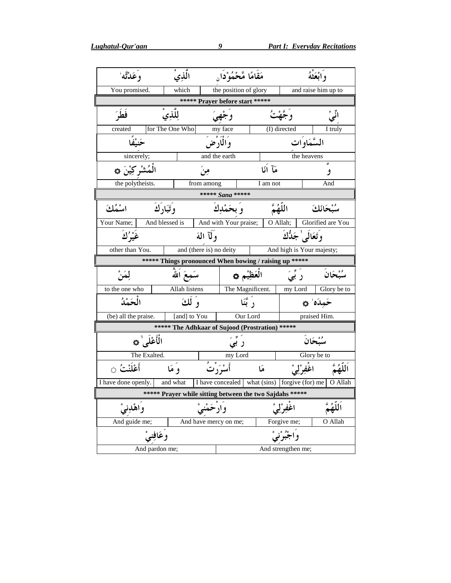| وَعَدْتَه                                  | الَّذِي                                                         | مَقَامًا مَّحْمُوْدَا <sub>ن</sub>                |           |                           | وابْعَثْهُ        |  |  |  |
|--------------------------------------------|-----------------------------------------------------------------|---------------------------------------------------|-----------|---------------------------|-------------------|--|--|--|
|                                            |                                                                 |                                                   |           |                           |                   |  |  |  |
| You promised.                              | which                                                           | the position of glory                             |           | and raise him up to       |                   |  |  |  |
|                                            |                                                                 | ***** Prayer before start *****                   |           |                           |                   |  |  |  |
| فطَرَ                                      | لِلَّذِي                                                        | وجهي                                              |           | وكجهث                     |                   |  |  |  |
| created                                    | for The One Who                                                 | my face                                           |           | (I) directed              | I truly           |  |  |  |
|                                            |                                                                 | و المار ض                                         |           | السَّمَاوات               |                   |  |  |  |
| sincerely;                                 |                                                                 | and the earth                                     |           | the heavens               |                   |  |  |  |
| الْمُشْركِيْنَ ۞                           | مِنَ                                                            |                                                   | مَآ أَنَا |                           | و                 |  |  |  |
| the polytheists.                           | from among                                                      |                                                   | I am not  |                           | And               |  |  |  |
|                                            |                                                                 | ***** Sana *****                                  |           |                           |                   |  |  |  |
| اسْمُكَ                                    | وتَبَارَكَ                                                      | و بحَمْدِك                                        |           | اللَّهُمَّ                | سُبْحَانَكَ       |  |  |  |
| Your Name;                                 | And blessed is                                                  | And with Your praise;                             | O Allah;  |                           | Glorified are You |  |  |  |
| غُيْرُكَ                                   | وَلَا اللَّهَ                                                   |                                                   |           | وَتَعَالَىٰ جَلُّكَ       |                   |  |  |  |
| other than You.<br>and (there is) no deity |                                                                 |                                                   |           | And high is Your majesty; |                   |  |  |  |
|                                            | ***** Things pronounced When bowing / raising up *****          |                                                   |           |                           |                   |  |  |  |
| لِمَنْ                                     | سَمِعَ اللَّهَ                                                  | العَظِيْمِ ۞                                      |           | ر بَیَ                    | سُنْحَان          |  |  |  |
| to the one who                             | Allah listens                                                   | The Magnificent.                                  |           | my Lord                   | Glory be to       |  |  |  |
| الْحَمْدُ                                  | وَ لَكَ                                                         | رَ ٿَنَا                                          |           |                           | ځمدَه' ده         |  |  |  |
| (be) all the praise.                       | [and] to You                                                    | Our Lord                                          |           |                           | praised Him.      |  |  |  |
|                                            | ***** The Adhkaar of Sujood (Prostration) *****                 |                                                   |           |                           |                   |  |  |  |
| الْأَعْلَى ٰ ۞                             |                                                                 | ر بی                                              |           |                           | سُبْحَانَ         |  |  |  |
| The Exalted.                               |                                                                 | my Lord                                           |           |                           | Glory be to       |  |  |  |
| أَعْلَنْتُ ۞                               | وْ مَا                                                          | أَسْرَرْتُ                                        | مَا       | اغْفِرْلِيْ               |                   |  |  |  |
| I have done openly.                        | and what                                                        | I have concealed   what (sins)   forgive (for) me |           |                           | O Allah           |  |  |  |
|                                            | ***** Praver while sitting between the two Saidahs *****        |                                                   |           |                           |                   |  |  |  |
| واهدني                                     |                                                                 |                                                   |           |                           |                   |  |  |  |
| And guide me;                              |                                                                 |                                                   |           |                           | O Allah           |  |  |  |
|                                            | And have mercy on me;<br>Forgive me;<br>وعَافِنِيْ<br>و اجبر نی |                                                   |           |                           |                   |  |  |  |
|                                            |                                                                 |                                                   |           |                           |                   |  |  |  |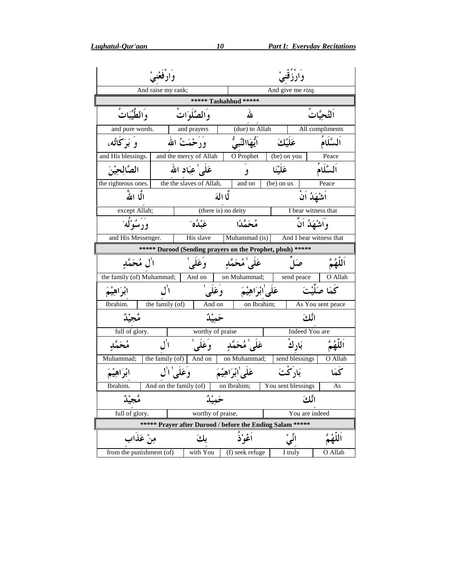$\overline{\phantom{a}}$ 

| وارفعْنيْ                                    |                                 | وارزقني                                                   |                     |                                  |                          |                                          |               |  |  |
|----------------------------------------------|---------------------------------|-----------------------------------------------------------|---------------------|----------------------------------|--------------------------|------------------------------------------|---------------|--|--|
| And raise my rank;                           |                                 | And give me rizq.<br>***** Tashahhud *****                |                     |                                  |                          |                                          |               |  |  |
| وَالطَّيِّبَاتَ                              | والصَّلُوَاتُ                   |                                                           |                     |                                  |                          |                                          | التَّحِيَّاتُ |  |  |
| and pure words.                              |                                 | and prayers                                               |                     | (due) to Allah                   |                          | All compliments                          |               |  |  |
| وَ بَرَكَاتُه،                               |                                 | وَرَحْمَتُ الله                                           |                     | ٱيُّهَاالنَّبِيُّ                | عَلَيْكَ                 |                                          | ألسَّلَامُ    |  |  |
| and His blessings.   and the mercy of Allah  |                                 |                                                           |                     | O Prophet                        | $\overline{$ (be) on you |                                          | Peace         |  |  |
| الصَّالِحِيْنَ                               |                                 | عَلَى ٰعِبَاد الله                                        |                     | $\overline{9}$                   | عَلَيْنَا                |                                          | اَلسَّلَامُ   |  |  |
| the righteous ones. the the slaves of Allah, |                                 |                                                           |                     | and on                           | (be) on us               |                                          | Peace         |  |  |
| الًا اللهُ                                   |                                 |                                                           | لَّا الهَ           |                                  |                          | شَهَدُ اَنْ                              |               |  |  |
| except Allah;                                |                                 | (there is) no deity                                       |                     |                                  |                          | I bear witness that                      |               |  |  |
| وَرَسُوْلُهُ                                 |                                 | عَىْدُه'                                                  |                     | مُحَمَّدًا                       |                          | وَاَشْهَدُ اَنَّ                         |               |  |  |
|                                              | His slave<br>and His Messenger. |                                                           |                     |                                  |                          | Muhammad (is)<br>And I bear witness that |               |  |  |
|                                              |                                 | ***** Durood (Sending prayers on the Prophet, pbuh) ***** |                     |                                  |                          |                                          |               |  |  |
| اٰل مُحَمَّدِ                                |                                 | وْعَلَىٰ                                                  |                     | عَلَى'مُحَمَّدِ                  |                          |                                          |               |  |  |
| the family (of) Muhammad;                    |                                 | And on                                                    |                     | on Muhammad;                     |                          | send peace                               | O Allah       |  |  |
| ابْرَاهِيْمَ                                 | $\Box'$                         | وَعَلَىٰ                                                  |                     | عَلَى'ابْرَاهِيْمَ               |                          |                                          | كَمَا صَلَّتَ |  |  |
| Ibrahim.                                     | the family $($ of $)$           | And on                                                    |                     | on Ibrahim;<br>As You sent peace |                          |                                          |               |  |  |
|                                              |                                 | حَمِيْدٌ                                                  |                     | اَنَّلُكَ                        |                          |                                          |               |  |  |
| full of glory.                               |                                 | worthy of praise                                          |                     |                                  |                          | Indeed You are                           |               |  |  |
| مُحَمَّدِ                                    |                                 | وَعَلَىٰ                                                  |                     | عَلَى'مُحَمَّدِ                  |                          | بَارِكَ                                  | ٱللَّهُمَّ    |  |  |
| Muhammad;                                    | the family (of)                 | And on                                                    |                     | on Muhammad;                     |                          | send blessings                           | O Allah       |  |  |
| ابْرَاهِيْمَ                                 | وَعَلَىٰ ال                     |                                                           | عَلَىٰ ابْرَاهِيْمَ |                                  | بَادِكْتَ                |                                          | ىچكا          |  |  |
| Ibrahim.                                     |                                 | And on the family (of)                                    | on Ibrahim;         |                                  | You sent blessings       |                                          | As            |  |  |
|                                              |                                 |                                                           |                     |                                  |                          | انٌكَ                                    |               |  |  |
| full of glory.                               |                                 | worthy of praise,                                         |                     |                                  |                          | You are indeed                           |               |  |  |
|                                              |                                 | ***** Prayer after Durood / before the Ending Salam ***** |                     |                                  |                          |                                          |               |  |  |
| مِنْ عَذَاب                                  |                                 | ىكَ                                                       |                     | ٱغُوْڎُ                          | نی                       |                                          |               |  |  |
| from the punishment (of)                     |                                 | with You                                                  |                     | (I) seek refuge                  |                          | I truly                                  | O Allah       |  |  |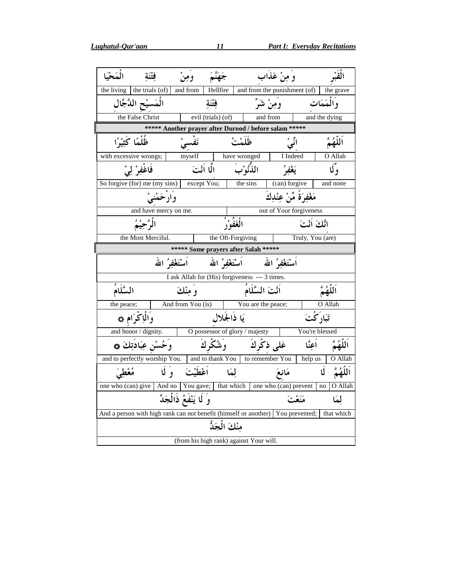| الْمَحْكَا                                                                        | ومنْ                       | جَهَنَّمَ          |                                                                       | وَمِنْ عَذَاب                |                           |
|-----------------------------------------------------------------------------------|----------------------------|--------------------|-----------------------------------------------------------------------|------------------------------|---------------------------|
| the living $\vert$ the trials (of)                                                | and from                   | Hellfire           |                                                                       | and from the punishment (of) | the grave                 |
| الْمَسيْحِ الدَّجَّالِ                                                            |                            | فتنة               |                                                                       | ومِنْ شَرَّ                  | و المَمَات                |
| the False Christ                                                                  |                            | evil (trials) (of) |                                                                       | and from                     | and the dying             |
|                                                                                   |                            |                    | ***** Another prayer after Durood / before salam *****                |                              |                           |
| ظُلْمًا كَثِيْرًا                                                                 | ئفسى                       |                    | ظَلَمْتُ                                                              | ائیْ                         |                           |
| with excessive wrongs;                                                            | myself                     |                    | elf              have wronged<br>اللّٰذُّنُوْبَ          الَّا أَنْتَ | I Indeed                     | O Allah                   |
| فَاغْفِرْ لِيْ                                                                    |                            |                    |                                                                       | يَغْفُرُ                     | وْكَا                     |
| So forgive (for) me (my sins) except You;                                         |                            |                    | the sins                                                              | (can) forgive                | and none                  |
|                                                                                   | وارْحَمْنِيْ               |                    |                                                                       | مَغْفِرَةً مِّنْ عِنْدِكَ    |                           |
|                                                                                   | and have mercy on me.      |                    |                                                                       | out of Your forgiveness      |                           |
| الْرَّحِيْمُ                                                                      |                            |                    | الْغَفُوْرُ                                                           | انَّكَ أَنْتَ                |                           |
| the Most Merciful.                                                                |                            |                    | the Oft-Forgiving                                                     | Truly, You (are)             |                           |
|                                                                                   |                            |                    | ***** Some prayers after Salah *****                                  |                              |                           |
|                                                                                   |                            |                    |                                                                       |                              |                           |
|                                                                                   | اُسْتَغْفِرُ الله          | أَسْتَغْفِرُ الله  |                                                                       | اَسْتَغْفِرُ الله            |                           |
|                                                                                   |                            |                    | I ask Allah for (His) forgiveness --- 3 times.                        |                              |                           |
| السَّلَامُ                                                                        | و منْكَ                    |                    | اَنْتَ السَّلَامُ                                                     |                              |                           |
| the peace;                                                                        | And from You (is)          |                    | You are the peace;                                                    |                              | O Allah                   |
| وَالْإِكْرَامِ ۞                                                                  |                            |                    | يَا ذَالْجَلال                                                        |                              | تَبَاد <sup>ِ </sup> كْتَ |
| and honor / dignity.                                                              |                            |                    | O possessor of glory / majesty                                        |                              | You're blessed            |
| وَحُسْنِ عِبَادَتِكَ ۞                                                            |                            | وَشُكْرِكَ         |                                                                       | عَلى ذكْركَ<br>أعنَّا        |                           |
| and to perfectly worship You.   and to thank You   to remember You                |                            |                    |                                                                       | help us                      | O Allah                   |
| مُعْطِيَ                                                                          | وَ لَا<br>ٱغْطَيْتَ        |                    | لمكا                                                                  | مَانْعَ                      | Ú                         |
| one who (can) give   And no   You gave;   that which   one who (can) prevent   no |                            |                    |                                                                       |                              | O Allah                   |
|                                                                                   | وَ لَا يَنْفَعُ ذَالْجَدِّ |                    |                                                                       | مَنَعْتَ                     | لمَا                      |
| And a person with high rank can not benefit (himself or another) You prevented;   |                            |                    |                                                                       |                              | that which                |
|                                                                                   |                            | منْكَ الْحَلُّ     |                                                                       |                              |                           |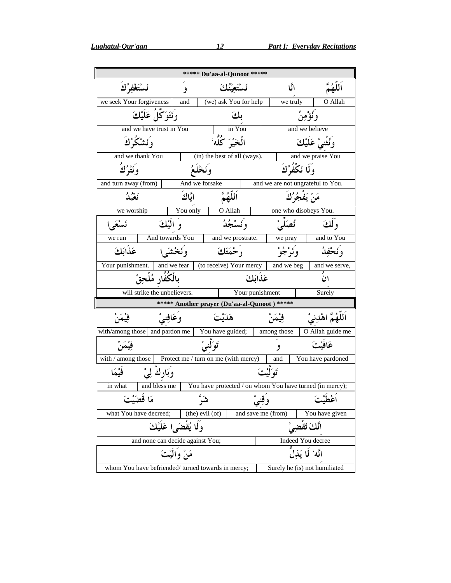|                                                   |                                                             | ***** Du'aa-al-Qunoot *****                              |                    |                                   |  |
|---------------------------------------------------|-------------------------------------------------------------|----------------------------------------------------------|--------------------|-----------------------------------|--|
| نَسْتَغْفِرُكَ                                    | و                                                           |                                                          | اٽًا               |                                   |  |
| we seek Your forgiveness                          | and                                                         | (we) ask You for help                                    | we truly           | O Allah                           |  |
| وَنَتَوَكَّلَ عَلَيْكَ                            |                                                             | بكَ                                                      |                    | وَنُؤْمِنُ                        |  |
|                                                   | in You<br>الْمَحْيْرَ كُلُّهَ ۚ<br>and we have trust in You |                                                          |                    | and we believe                    |  |
| ونَشْكَرُكَ                                       |                                                             |                                                          |                    | وَنُثْنيْ عَلَيْكَ                |  |
| and we thank You                                  |                                                             | (in) the best of all (ways).                             |                    | and we praise You                 |  |
| وَنَتْرُك                                         |                                                             |                                                          |                    | وَلَا نَكْفُوُكَ                  |  |
| and turn away (from)                              |                                                             | And we forsake                                           |                    | and we are not ungrateful to You. |  |
| ئعندُ                                             | ايَّاكَ                                                     | ٱللَّهُمَّ                                               |                    | مَنْ يَفجُرُكَ                    |  |
| we worship                                        | You only                                                    | O Allah                                                  |                    | one who disobeys You.             |  |
| نَسْعَى!                                          | وَ الَيْكَ                                                  | وَنَسْجُلُه                                              |                    | ولكَ                              |  |
| we run                                            | And towards You                                             | and we prostrate.                                        | we pray            | and to You                        |  |
| عَذَابَكَ                                         | وَنَخْشَىٰا                                                 | ر ځمتَكَ                                                 | وَنَوْجُوْ         | وَنَحْفِدُ                        |  |
| Your punishment.   and we fear                    |                                                             | (to receive) Your mercy                                  | and we beg         | and we serve,                     |  |
| بِالْكُفَّارِ مُلْحِقْ                            |                                                             |                                                          | عَذابَكَ           | ان                                |  |
| will strike the unbelievers.                      |                                                             |                                                          | Your punishment    | Surely                            |  |
|                                                   |                                                             | ***** Another prayer (Du'aa-al-Qunoot)                   | *****              |                                   |  |
|                                                   | وعَافِنيْ                                                   | هَدَيْتَ                                                 | فيْمَنْ            | اللهُمَّ اهْدِنيْ                 |  |
| with/among those and pardon me                    |                                                             | You have guided;                                         | among those        | O Allah guide me                  |  |
|                                                   |                                                             | تَوَ لَّنبِيُّ                                           | و                  | عَافَيْتَ                         |  |
| with $/$ among those $ $                          |                                                             | Protect me / turn on me (with mercy)                     | and                | You have pardoned                 |  |
| فثم<br>وُبَارِك لِيْ                              |                                                             |                                                          | تَوَلَّيْتَ        |                                   |  |
| and bless me<br>in what                           |                                                             | You have protected / on whom You have turned (in mercy); |                    |                                   |  |
| مَا قضَہ                                          |                                                             |                                                          |                    | اعط                               |  |
| what You have decreed;                            |                                                             | (the) evil (of)                                          | and save me (from) | You have given                    |  |
|                                                   | ولا يُقضَى! عَلَيْكَ                                        |                                                          |                    | انَّكَ تَقضِيَ                    |  |
|                                                   | and none can decide against You;                            |                                                          |                    | Indeed You decree                 |  |
|                                                   | مَنْ وَالْيْتَ                                              |                                                          |                    | انَّه ْ لَا يَذِل                 |  |
| whom You have befriended/turned towards in mercy; |                                                             |                                                          |                    | Surely he (is) not humiliated     |  |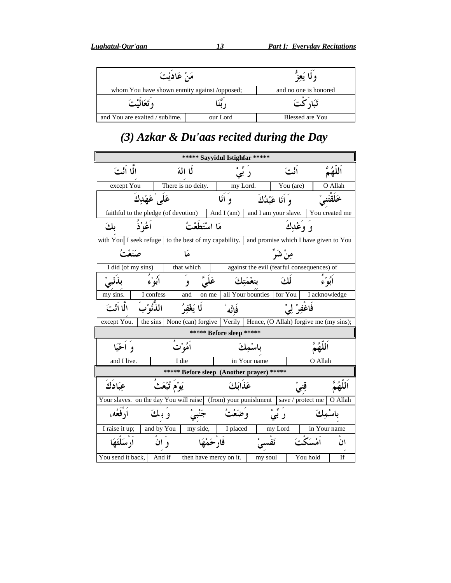| مَنْ عَادِيْتَ                               |                       |                 |  |
|----------------------------------------------|-----------------------|-----------------|--|
| whom You have shown enmity against /opposed; | and no one is honored |                 |  |
| وتَعَالَيْتَ َ                               |                       |                 |  |
| and You are exalted / sublime.               | our Lord              | Blessed are You |  |

### $(3)$  Azkar & Du'aas recited during the Day

| ***** Sayyidul Istighfar *****                                                                     |                |                                                                      |                 |                                 |                                            |                               |                |               |                        |
|----------------------------------------------------------------------------------------------------|----------------|----------------------------------------------------------------------|-----------------|---------------------------------|--------------------------------------------|-------------------------------|----------------|---------------|------------------------|
| الًّا اَنْتَ<br>لما المَهَ                                                                         |                |                                                                      | ر بی            |                                 | اٺُتَ                                      |                               |                |               |                        |
| except You                                                                                         |                | There is no deity.                                                   |                 | my Lord.                        | You (are)                                  |                               |                |               | O Allah                |
|                                                                                                    | عَلَى'عَهْدِكَ |                                                                      |                 | و انّا                          |                                            | وَ أَنَا عَبْدُكَ             |                |               |                        |
| faithful to the pledge (of devotion)                                                               |                |                                                                      |                 | And I (am) and I am your slave. |                                            |                               |                |               | You created me         |
| [ و َ                                                                                              | اعُوْذُ        |                                                                      | مَا اسْتَطَعْتُ |                                 |                                            |                               | و وغدكَ        |               |                        |
| with You I seek refuge to the best of my capability. $\vert$ and promise which I have given to You |                |                                                                      |                 |                                 |                                            |                               |                |               |                        |
| صَنَعْتُ                                                                                           |                | هَا                                                                  |                 |                                 |                                            | مِنْ شَرَّ                    |                |               |                        |
| I did (of my sins)                                                                                 |                | that which                                                           |                 |                                 | against the evil (fearful consequences) of |                               |                |               |                        |
|                                                                                                    | أبوه           | و                                                                    |                 |                                 |                                            | لكَ                           |                | أبُوْءُ       |                        |
| my sins.                                                                                           | I confess      | and                                                                  | on me           |                                 | all Your bounties                          | for You                       |                | I acknowledge |                        |
| الًا أَنْتَ                                                                                        | اللَّٰٓأُوْبَ  | لما يَغْفُرُ                                                         |                 | فَاتَّه                         |                                            |                               | فَاغْفِرْ لِيْ |               |                        |
| except You.                                                                                        | the sins       | None (can) forgive   Verily   Hence, (O Allah) forgive me (my sins); |                 |                                 |                                            |                               |                |               |                        |
|                                                                                                    |                |                                                                      |                 | ***** Before sleep *****        |                                            |                               |                |               |                        |
| وأخُبَا                                                                                            |                | أَهُوْتَ                                                             |                 |                                 |                                            |                               |                |               |                        |
| and I live.                                                                                        |                | I die                                                                |                 |                                 | in Your name                               |                               |                | O Allah       |                        |
| ***** Before sleep (Another prayer) *****                                                          |                |                                                                      |                 |                                 |                                            |                               |                |               |                        |
| عِبَادَكَ                                                                                          |                |                                                                      |                 | عَذامَكَ                        |                                            |                               |                |               |                        |
| Your slaves. on the day You will raise (from) your punishment<br>O Allah<br>save / protect me      |                |                                                                      |                 |                                 |                                            |                               |                |               |                        |
| آر فَعُه،                                                                                          | و بائ          |                                                                      |                 |                                 |                                            | $\circ$ $\frac{9}{2}$<br>ر بی |                |               |                        |
| I raise it up;                                                                                     |                | and by You   my side,                                                |                 | I placed                        |                                            | my Lord                       |                | in Your name  |                        |
|                                                                                                    | و ان           |                                                                      | فار حَمْهَا     |                                 |                                            |                               |                |               | اٺ                     |
| You send it back,                                                                                  | And if         |                                                                      |                 | then have mercy on it.          | my soul                                    |                               | You hold       |               | $\overline{\text{If}}$ |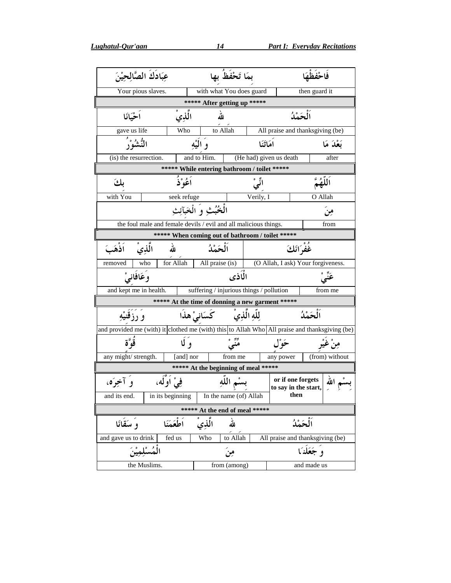| عِبَادَكَ الصَّالِحِيْنَ                                                                       |                                                     | بمَا تَحْفَظُ بِها                        |                                           | فاحفظهَ        |  |  |  |
|------------------------------------------------------------------------------------------------|-----------------------------------------------------|-------------------------------------------|-------------------------------------------|----------------|--|--|--|
| Your pious slaves.                                                                             |                                                     | with what You does guard<br>then guard it |                                           |                |  |  |  |
|                                                                                                |                                                     | ***** After getting up *****              |                                           |                |  |  |  |
| اَلْحَمْدُ<br>أحْيَانَا<br>الله<br>الذي                                                        |                                                     |                                           |                                           |                |  |  |  |
| gave us life                                                                                   | to Allah<br>Who<br>All praise and thanksgiving (be) |                                           |                                           |                |  |  |  |
| النُّبثيثي                                                                                     | و النَّه                                            | امَاتَنَا                                 |                                           | بَعْدَ مَا     |  |  |  |
| (is) the resurrection.                                                                         | and to Him.                                         | (He had) given us death                   |                                           | after          |  |  |  |
|                                                                                                | ***** While entering bathroom / toilet *****        |                                           |                                           |                |  |  |  |
| بكَ                                                                                            | أعُوْذُ                                             | ائيّ                                      |                                           | اللهُمّ        |  |  |  |
| with You                                                                                       | seek refuge                                         | Verily, I                                 |                                           | O Allah        |  |  |  |
| الْخُبُثِ وَ الْخَبَآئِثِ<br>مِن                                                               |                                                     |                                           |                                           |                |  |  |  |
| the foul male and female devils / evil and all malicious things.                               |                                                     |                                           |                                           | from           |  |  |  |
| ***** When coming out of bathroom / toilet *****                                               |                                                     |                                           |                                           |                |  |  |  |
| -<br>غُفْرَانَكَ<br>الحَمْدُ<br>الذي<br>الله<br>اذهَبَ                                         |                                                     |                                           |                                           |                |  |  |  |
| for Allah<br>who<br>All praise (is)<br>(O Allah, I ask) Your forgiveness.<br>removed           |                                                     |                                           |                                           |                |  |  |  |
| وعَافانيْ<br>الماذي                                                                            |                                                     |                                           |                                           |                |  |  |  |
| suffering / injurious things / pollution<br>and kept me in health.<br>from me                  |                                                     |                                           |                                           |                |  |  |  |
| ***** At the time of donning a new garment *****                                               |                                                     |                                           |                                           |                |  |  |  |
| للّه الّذِي<br>الحَمْدُ<br>كسَانيْ هذا<br>و رزقنیهِ                                            |                                                     |                                           |                                           |                |  |  |  |
| and provided me (with) it clothed me (with) this to Allah Who All praise and thanksgiving (be) |                                                     |                                           |                                           |                |  |  |  |
| قَو ؓ ة                                                                                        | و کا                                                | <sup>ږږ .</sup>                           | ځو ل                                      | مِنْ غَيْر     |  |  |  |
| any might/ strength.                                                                           | [and] nor                                           | from me                                   | any power                                 | (from) without |  |  |  |
| ***** At the beginning of meal *****                                                           |                                                     |                                           |                                           |                |  |  |  |
| فِيْ اوَلَه،<br>و آخوَه،                                                                       |                                                     | م اللّه                                   | or if one forgets<br>to say in the start, | الله           |  |  |  |
| and its end.<br>in its beginning                                                               |                                                     | In the name $(of)$ Allah                  | then                                      |                |  |  |  |
| ***** At the end of meal *****                                                                 |                                                     |                                           |                                           |                |  |  |  |
| لله<br>اَلْحَمْدُ<br>وَ سَقَانَا<br>أطعَمَنَا<br>الذي                                          |                                                     |                                           |                                           |                |  |  |  |
|                                                                                                |                                                     |                                           |                                           |                |  |  |  |
| and gave us to drink<br>fed us                                                                 | Who                                                 | to Allah                                  | All praise and thanksgiving (be)          |                |  |  |  |
|                                                                                                |                                                     | مِنَ                                      | و جَعَلْنَا                               |                |  |  |  |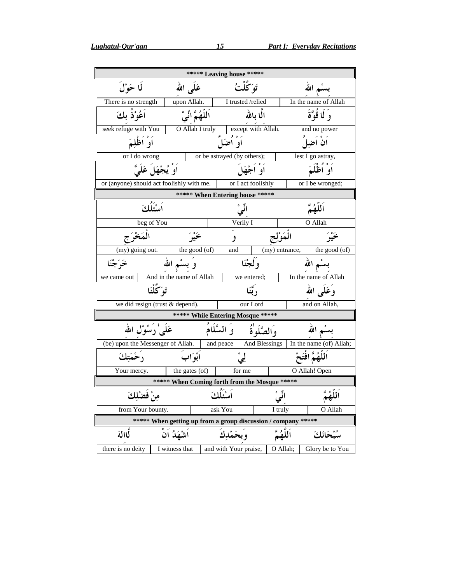| ****** Leaving house *****                                    |                   |                                   |                   |                         |  |  |
|---------------------------------------------------------------|-------------------|-----------------------------------|-------------------|-------------------------|--|--|
| لَا حَوْلَ                                                    | عَلمي الله        | تَوَكَّلْتُ                       |                   | بسْم الله               |  |  |
| There is no strength                                          | upon Allah.       | I trusted /relied                 |                   | In the name of Allah    |  |  |
| اعُوْذ بكَ                                                    | اَللّهُمَّ انِّيْ | الما بالله                        |                   | وَ لَا قُوَّةَ          |  |  |
| seek refuge with You                                          | O Allah I truly   | except with Allah.                |                   | and no power            |  |  |
| او اظليَمَ                                                    |                   | او اضکل                           |                   | ان اضاً ِ               |  |  |
| or I do wrong                                                 |                   | or be astrayed (by others);       |                   | lest I go astray,       |  |  |
| اَوْ يُجْهَلَ عَلَىَّ                                         |                   | او اڄچُل                          |                   |                         |  |  |
| or (anyone) should act foolishly with me.                     |                   | or I act foolishly                |                   | or I be wronged;        |  |  |
|                                                               |                   | ***** When Entering house *****   |                   |                         |  |  |
| اَسْتَلْكَ                                                    |                   | انًىْ                             |                   | اَلْلَهُمُّ             |  |  |
| beg of You                                                    |                   | Verily I                          |                   | O Allah                 |  |  |
|                                                               |                   | و                                 | الْمَوْلِج        |                         |  |  |
| (my) going out.                                               | the good (of)     | and                               | (my) entrance,    | the good (of)           |  |  |
| وَ بِسْمِ الله<br>خَرَجْنَا                                   |                   | وكجْنَا                           |                   | سْم الله                |  |  |
| And in the name of Allah<br>we came out                       |                   | we entered;                       |                   | In the name of Allah    |  |  |
| تَوَكَّلْنَا                                                  |                   | د تئنا                            |                   | وُعَلَى الله            |  |  |
| we did resign (trust & depend).                               |                   | our Lord                          |                   | and on Allah,           |  |  |
|                                                               |                   | ***** While Entering Mosque ***** |                   |                         |  |  |
| عَلَى'رَسُوْل الله                                            | وَ السَّلَامُ     | والصَّلَوٰة                       |                   | سم الله                 |  |  |
| (be) upon the Messenger of Allah.                             |                   | And Blessings<br>and peace        |                   | In the name (of) Allah; |  |  |
| رْحْمَتِكَ                                                    | أَبْوَابَ         | لِيْ                              | للَّهُمَّ افْتَحْ |                         |  |  |
| Your mercy.                                                   | the gates (of)    | for me                            |                   | O Allah! Open           |  |  |
| ***** When Coming forth from the Mosque *****                 |                   |                                   |                   |                         |  |  |
| مِنْ فَضْلِكَ                                                 |                   | ٱسْئُلُكَ                         | انج ہ<br>ا لی     | ٱللَّهُمَّ              |  |  |
| from Your bounty.                                             |                   | ask You                           | I truly           | O Allah                 |  |  |
| ***** When getting up from a group discussion / company ***** |                   |                                   |                   |                         |  |  |
| لمالة<br>اشهدَ ان                                             |                   | و يحم                             | اللهم             |                         |  |  |
| there is no deity<br>I witness that                           |                   | and with Your praise,             | O Allah;          | Glory be to You         |  |  |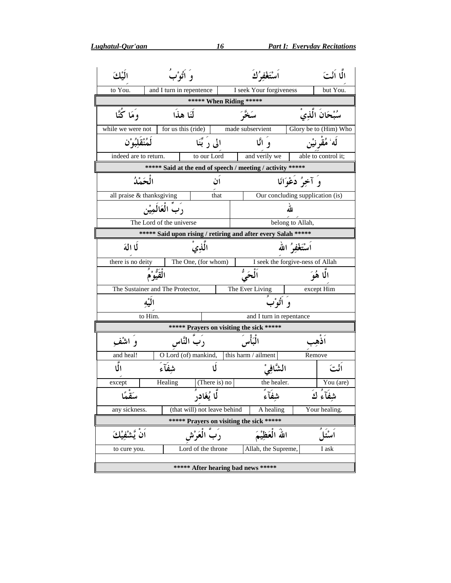Lughatul-Qur'aan

| الكك                                                          |                                                                              | وَ أَتُوْبُ<br>اَسْتَغْفِرُكَ                       |  |                                                            |        | الًّا اَنْتَ          |  |  |
|---------------------------------------------------------------|------------------------------------------------------------------------------|-----------------------------------------------------|--|------------------------------------------------------------|--------|-----------------------|--|--|
| to You.                                                       |                                                                              | and I turn in repentence<br>I seek Your forgiveness |  |                                                            |        | but You.              |  |  |
|                                                               |                                                                              | ***** When Riding *****                             |  |                                                            |        |                       |  |  |
| وَمَا كُنَّا                                                  |                                                                              | لَنَا هذَا                                          |  |                                                            |        | سُبْحَانَ الَّذِي     |  |  |
| while we were not                                             |                                                                              | for us this (ride)                                  |  | made subservient                                           |        | Glory be to (Him) Who |  |  |
| ڶڡؙٮ۠قؘۘڶؽؗۅ۫ڹ                                                |                                                                              | الی رَ بَّنَا                                       |  | و انَّا                                                    |        | لَه ۢ مُقْرِ نَيْن    |  |  |
| indeed are to return.                                         |                                                                              | to our Lord                                         |  | and verily we                                              |        | able to control it;   |  |  |
|                                                               |                                                                              |                                                     |  | ***** Said at the end of speech / meeting / activity ***** |        |                       |  |  |
| الْحَمْدُ                                                     |                                                                              | ان                                                  |  | وَ آخِرُ دُعْوَانَا                                        |        |                       |  |  |
| all praise & thanksgiving                                     |                                                                              | that                                                |  | Our concluding supplication (is)                           |        |                       |  |  |
|                                                               | رب العَالَمِيْن<br>لله                                                       |                                                     |  |                                                            |        |                       |  |  |
|                                                               | The Lord of the universe<br>belong to Allah,                                 |                                                     |  |                                                            |        |                       |  |  |
| ***** Said upon rising / retiring and after every Salah ***** |                                                                              |                                                     |  |                                                            |        |                       |  |  |
| لَا اللهَ                                                     |                                                                              | اَسْتَغْفِرُ الله<br>الذِي                          |  |                                                            |        |                       |  |  |
|                                                               | there is no deity<br>The One, (for whom)<br>I seek the forgive-ness of Allah |                                                     |  |                                                            |        |                       |  |  |
| ٱلْحَىُّ<br>الْقَيُوْمُ<br>الا هُوَ                           |                                                                              |                                                     |  |                                                            |        |                       |  |  |
|                                                               | The Sustainer and The Protector,<br>The Ever Living<br>except Him            |                                                     |  |                                                            |        |                       |  |  |
|                                                               | البه                                                                         |                                                     |  | وُ أَتُوْبُ                                                |        |                       |  |  |
|                                                               | to Him.                                                                      |                                                     |  | and I turn in repentance                                   |        |                       |  |  |
|                                                               |                                                                              | ***** Prayers on visiting the sick *****            |  |                                                            |        |                       |  |  |
| و اشْفْ                                                       |                                                                              | رب النَّاس                                          |  | الْبَأْسَ                                                  |        | اذهب                  |  |  |
| and heal!                                                     |                                                                              | O Lord (of) mankind,                                |  | this harm / ailment                                        | Remove |                       |  |  |
| نق<br>الما                                                    | شفآء                                                                         | Ŋ                                                   |  | الشَّافِيْ                                                 |        | اٺُتَ                 |  |  |
| except                                                        | Healing                                                                      | (There is) no                                       |  | the healer.                                                |        | You (are)             |  |  |
| رية ء<br>سفما                                                 |                                                                              | لَّا يُغَادِرِ                                      |  | شِفَآءً                                                    |        | شِفَآءُ كَ            |  |  |
| any sickness.                                                 |                                                                              | (that will) not leave behind                        |  | A healing                                                  |        | Your healing.         |  |  |
| ***** Prayers on visiting the sick *****                      |                                                                              |                                                     |  |                                                            |        |                       |  |  |
|                                                               |                                                                              | رب العَرْش                                          |  | اللهُ الْعَظِيْمَ                                          |        | اسْئا                 |  |  |
| to cure you.                                                  |                                                                              | Lord of the throne                                  |  | Allah, the Supreme,                                        |        | I ask                 |  |  |
| ***** After hearing bad news *****                            |                                                                              |                                                     |  |                                                            |        |                       |  |  |